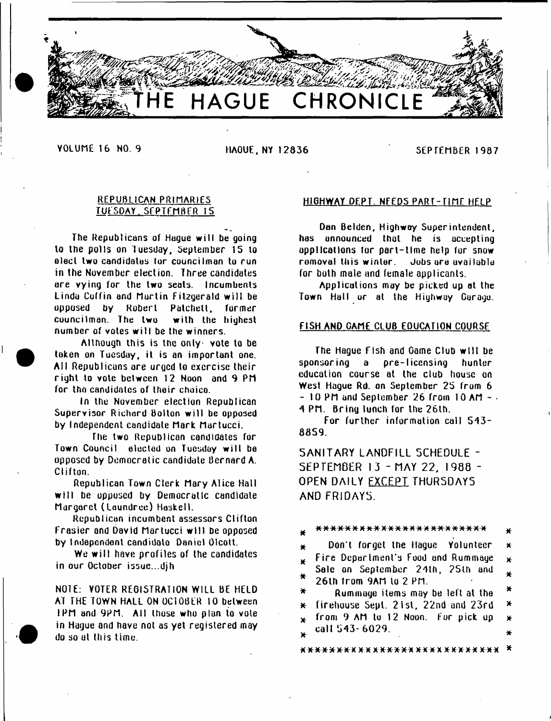

YOLUME 16 NO. 9 HAGUE. NY 12836 SEPTEMBER 1987

# REPUBLICAN PRIMARIES TUESDAY. SEPTEMBER 15

The Republicans of Hague will be going to the polls on Tuesday. September 15 to elect two candidates lor councilman to run in the November election. Three candidates ore vying for the two seals. Incumbents Linda Coffin and Martin Fitzgerald will be opposed by Robert Palchell. former councilman. The two with the highest number of votes will be the winners.

Although this is the only vote to be taken on Tuesday, it is an important one. All Republicans are urged to exercise their right to vote between 12 Noon and 9 PM for the candidates of their choice.

In the November election Republican Supervisor Richard Bolton will be opposed by Independent candidate Mark Martucci.

The two Republican candidates for Town Council elected on Tuesday w ill be opposed by Democratic candidate Bernard A. Clifton.

Republican Town Clerk Mary Alice Hall will be opposed by Democratic candidate Margaret (Laundree) Haskell.

Republican incumbent assessors Clifton Frasier and David Martucci w ill be opposed by Independent candidate Daniel Olcott.

We will have profiles of the candidates in our October issue.,.djh

N01E: YOTER REGISTRATION WILL BE HELD AT THE TOWN HALL ON OCIOBER 10 between IPM and 9PM. All those who plan to vote in Hague and have not as yet registered may do so ul this time.

# HIGHWAY DEPT. NEEDS PART- TIME HELP

Dan Belden, Highway Superintendent, has announced that he is accepting applications for part-time help for snow romoval this winter. Jobs are available for both mate and female applicants.

Applications may be picked up at the Town Hall or at the Highway Gurago.

# FISH AND GAME CLUB EDUCATION COURSE

The Hague Fish and Game Club will be sponsor ing a pre-1 icensing hunter education course at the club house on West Hague Rd. on September 25 from 6  $-10$  PM and September 26 from 10 AM  $-$ 4 PM. Bring lunch for the 26th.

For further information call 543- 8859.

5ANITARY LANDFILL SCHEDULE - SEPTEMBER 13 - MAY 22, 1988 -OPEN DAILY EXCEPT THURSDAYS AND FRIDAYS.

^ \* \* \* \* \* \* \* \* \* \* \* \* \* \* \* \* \* \* \* \* \* \* \* \* \*  $\star$  Don't forget the Hague Yolunteer  $\star$  $\star$  Fire Department's Food and Rummage  $\star$ Sale on Seplember 24th, ?Sth and x.  $*$  26th from 9AM to 2 PM. Rummage items may be left at the  $*$  $*$  firehouse Sept. 21st, 22nd and 23rd  $*$  $*$  from 9 AM to 12 Noon. Fur pick up  $*$ . call 543- 6029. ¥ \* \* \* \* \* \* \* \* \* \* \* \* \* \* \* \* \* \* \* \* \* \* \* \* \* \* \* \* \*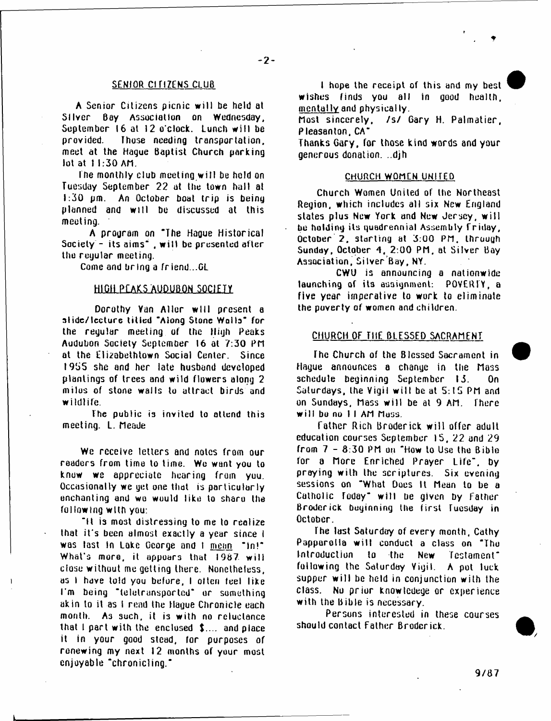## SENIOR CITIZENS CLUB

A Senior Citizens picnic w ill be held at Silver Bay Association on Wednesday, September 16 at 12 o'clock. Lunch will be provided. Those needing transportation, meet at the Hague Baptist Church parking lot at 11:30 AM.

Ihe monthly club meeting w ill be hold on Tuesday September 22 at the town hull at 1:30 pm. An October boat trip is being planned and w ill be discussed at this meeting.

A program on "The Hague Historical Society - its aims" , w ill be presented after the regular meeting.

Come and bring a fr iend...GL

## HIGH PEAKS AUDUBON SOCIETY

Dorothy Yan Aller will present a **slide/lecture titled** "Along Stone Wolls" for the regular meeting of the High Peaks Audubon Society September 16 at 7:30 PM at the Elizabethtown Social Center. Since 1955 she and her late husband developed plantings of trees and wild flowers along 2 milus of stone walls to attract birds and wildlife.

The public is invited to attend this meeting. L. Meade

We receive letters and notes from our readers from time to lime. We want you to know we appreciate hearing from yuu. Occasionally we yet one that is particularly enchanting and we wuuld like to sharu the following w ith you:

"It is most distressing to me to realize that it's been almost exactly a year since I was last in Lake George and 1 mean "in!" What's more, it appoars that 1987 will close without me getting there. Nonetheless, as I have told you before, I olten feel like I'm being "teletrunsported" or something akin to it as 1 rend the Hague Chronicle each month. **A3** such, it **i3** with no reluctance that I part with the enclosed \$.... and place it in your good stead, for purposes of renewing my next 12 months of your most enjoyable "chronicling."

I hope the receipt of this and my best wishes finds you all in good health, mentally and physically.

Most sincerely, /s/ Gary H. Palmatier, Pleasanton. CA"

Thanks Gary, for those kind words and your generous donation. ..djh

# CHURCH WOMEN UNITED

Church Women United of the Northeast Region, which includes all six New England slates plus New York and New Jersey, w ill be holding its quadrennial Assembly Friday, October 2. starting at 3:00 PM. through Sunday, October 4, 2:00 PM, at Silver Bay Association, Silver Bay, NY.

CWU is announcing a nationwide launching of its assignment: POVERTY, a five year imperative to work to eliminate the poverty of women and children.

# CHURCH OF THE BLESSED SACRAMENT

The Church of the Blessed Sacrament in Hague announces a chanyc in the Mass schedule beginning September 13. On Saturdays, the Vigil will be at 5:15 PM and on Sundays. Mass w ill be at 9 AM. There will be no II AM Muss.

Talher Rich Broderick w ill offer adult education courses September 15, 22 and 29 from 7 - 3:30 PM on "How to Use the Bible for a More Enriched Prayer Life", by praying with the scriptures. Six evening sessions on "What Does it Mean to be a Catholic Today" will be given by Father Broderick beginning the first Tuesday in October.

The last Saturday of every month, Cathy Papparotia will conduct a class on "The Introduction to the New Testament\* following the Saturday Yigii. A pot luck supper will be held in conjunction with the class. No prior knowledege or experience with the Bible is necessary.

Persons interested in these courses should contact Father Broderick.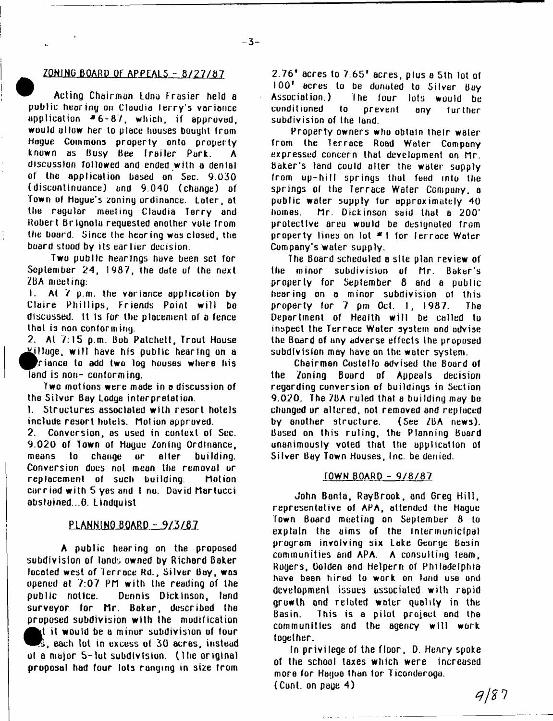# ZONING BOARD OF APPEALS - 8/27/87

Acting Chairman Ldna Frasier held a public hearing on Claudia terry's variance application  $*6-87$ , which, if approved, would allow her to place houses bought from Hogue Commons property onto properly known as Busy Bee Trailer Park. A discussion followed and ended with a denial of the application based on Sec. 9.030 (discontinuance) and 9.040 (change) of Town of Hague's zoning ordinance. Later, at the regular meeting Claudia Terry and Robert Brlgnolu requested another vole from the board. Since the hearing was closed, the board stood by its earlier decision.

Two public hearings have been set for September 24, 1987, the date of the next ZBA meeting:

 $\frac{1}{2}$ 

1. At 7 p.m. the vorionce application by Claire Phillips, Friends Point will be discussed. It is for the placement of a fence that is non conforming.

2. At 7:15 p.m. Bob Patchett, Trout House  $X$ illuge, will have his public hearing on a ^ P ria n c e to add two log houses whore his land is non- conforming.

Two motions were mode in o discussion of the Silver Bay Lodge interpretation.

1. Structures associated with resort hotels include resort hotels. Motion approved.

2. Conversion, os used in context of Sec. 9.020 of Town of Hague Zoning Ordinance, means to change or alter building. Conversion does not mean the removal or replacement of such building. Motion carried w ith 5 yes and I no. David Martucci abstained ..6. Lindquist

# **PLANNING BOARD - 9/3/87**

A public hearing on the proposed subdivision of lands owned by Richard Baker located west of Terrace Rd., Silver Boy, was opened at 7:07 PM w ith the reading of the public notice. Dennis Dickinson, land surveyor for Mr. Baker, described the proposed subdivision with the modification **1.** It would be a minor subdivision of four<br>• S. each lot in excess of 30 acres, instead<br>• of a major 5-lot subdivision. (The original<br>• concernal had four lots coming in give trom t it would be a minor subdivision of four s, each tot in excess of 30 acres, instead proposal had four tots ranging in size from

2.76\* acres to 7.65\* acres, plus a 5th lot of 100\* acres to be donated to Silver Buy Association.) The four lots would be conditioned to prevent any further subdivision of the land.

Property owners who obtain their water from the Terrace Road Water Company expressed concern that development on Mr. Baker's land could alter the water supply from up-hill springs that feed into the springs of the Terrace Water Company, a public water supply tur approximately 40 homes. Mr. Dickinson said that a 200' protective area would be designated from property lines on lot  $\neq 1$  for ferrace Water Company's water supply.

The Board scheduled a site plan review of the minor subdivision of Mr. Baker's property for September 8 and a public hearing on a minor subdivision ot this property for 7 pm Oct. 1, 1987. The Department of Health will be called to inspect the Terrace Water system and advise the Board of any adverse effects the proposed subdivision may have on the water system.

Chairman Costello advised the Board of the Zoning Board of Appeals decision regarding conversion of buildings in Section 9.020. The 7BA ruled that a building may be changed or altered, not removed and replaced by another structure. (See /BA news). Based on this ruling, the Planning Board unanimously voted that the application of Silver Bay Town Houses, Inc. be denied.

### fOWH BOARD - 9 / 8 / 8 7

John Banta, RayBrook, and Greg Hill, representative of APA, attended the Hague Town Board meeting on September 8 to explain the aims of the intermunicipal program involving six Lake George Basin communities and APA. A consulting team, Rogers, Golden and Helpern of Philadelphia have been hired to work on land use und development issues associated with rapid growth and related water quality in the Basin. This is a pilot project and the communities and the agency w ill work together.

In privilege of the floor, D. Henry spoke of the school taxes which were increased more for Hague than for Ticonderogu. (Cont. on page 4)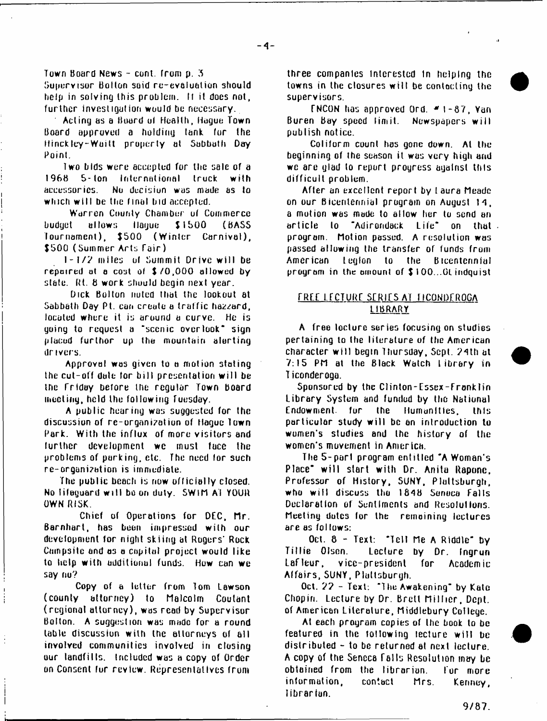Town Board News - cont. from p. 3

Supervisor Bolton soid re-evaluation should help in solving this problem. It it does not, further investigation would be necessary.

Acting as a Board ul Health, Hague Town Board approved a holding lank tor the Hinck ley-Waitt property at Sabbath Day Point.

Two bids were accepted for the sale of a I96H S-lon International truck with accessories. No decisiun was made as to which w ill be the final hid accepted.

Warren County Chamber ut Commerce budget allows Hague \$ 1 500 ( BASS tournament), \$500 (Winter Carnival), \$500 (Summer Arts Tair)

I - 1 / ? miles ul Summit Drive w ill be repaired at a cost of \$70,000 allowed by state, fit. 8 work should begin next year.

Dick Bolton nuted that the lookout at Sabbath Day Pt. can create a traffic hazzard, located where it is around a curve. He is yoing to request a ' scenic overlook\* sign placed further up the mountain alerting drivers.

Approval was given to a motion stating the cut-off date for bill presentation will be the Trlday before the regular Town Board meeting, held the following Tuesday.

A public hearing was suggested for the discussion of re-urgani?atiun of Hague town Park. With the influx of more visitors and further development we must face the problems of parking, etc. The need lor such re-organi?htion is immediate.

The public beach is now officially closed. No lifeguard w ill bo on duty. SWIM AI YOUR OWN RISK.

Chief of Operations for DEC, Mr. Barnhart, has boon impressed with our development for night skiing at Rogers' Rock Campsite and as a capital project would like to help with additional funds. How can we say no?

Copy of a letter from Tom Lawson (county attorney) to Malcolm Coulant (regional attorney), was read by Supervisor Bolton. A suggestion was made for a round table discussion with the attorneys of all involved communities involved in closing our landfills. Included was a copy of Order on Consent fur review. Representatives from

three companies Interested In helping the towns in the closures w ill be contacting the supervisors.

**TNCON** has approved Ord.  $*$  1-87, Yan Buren Bay speed lim it. Newspapers w ill publish notice.

Coliform count has gone down. At the beginning of the season it was very high and we are glad to report progress against this difficult problem.

After an excellent report by I aura Meade on our Bicentennial program on August 14. a motion was made to allow her to send an anticle to "Adirondack Life" on that. program. Motion passed. A resolution was passed allowing the transfer of funds from American legion to the Bicentennial program in the amount of \$ I 00...0L indquist

# TREE LfCTURT STRlfS AT TICQNDfROGA LIBRARY

A free lecture series focusing on studies pertaining to the literature of the American character w ill begin Thursday, Sept. ?4th at 7:15 PM at the Black Watch Library in T iconderoga.

Sponsored by the Clinton-Essex-Fronklin Library System and funded by the National Endowment, for the Humanities, this particular study w ill be an introduction to women's studies and the history of the women's movement in America.

The 5-part program entitled "A Woman's Place" w ill start with Dr. Anita Raponc, Professor of History, SUNY, Plattsburgh, who will discuss the 1848 Seneca Falls Declaration of Sentiments and Resolutions. Meeting dutcs tor the remaining lectures are as fol lows:

Oct.  $8 - Text:$  "Tell Me A Riddle" by T illie Olson. Lecture by Dr. Ingrun Lafleur, vice-president for Academic A ffairs, SUNY, Plattsburgh.

Oct. *'J ?* - Text. ' The Awakening" by Kate Chopin. Lecture by Dr. Brett Millier, Dept. of American Literature, Middlebury College.

At each program copies of the book to be featured in the following lecture will be distributed - to be returned at next lecture. A copy of the Sencca fa lls Resolution may be obtained from the librarian. Tor more information, contbct Mrs. Kenney, librarian.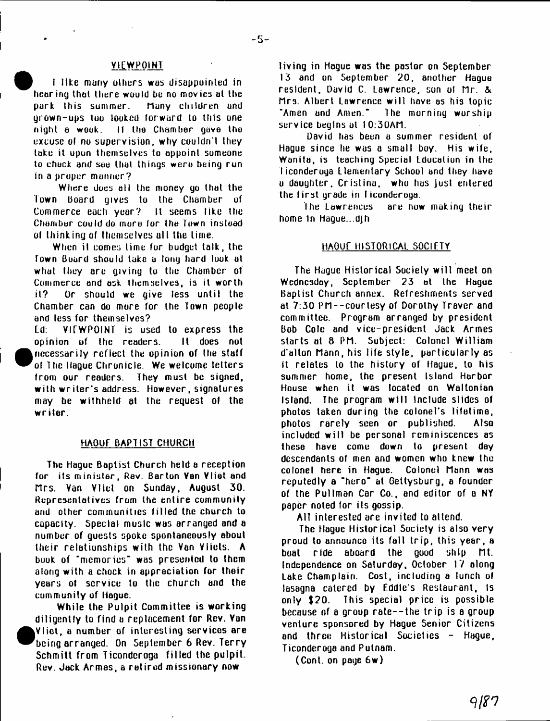# VIEWPOINT

I like many others was disappointed in hearing that there would be no movies al the park this summer. Many children and grown-ups too looked forward to this one night a weak. If the Chamber gave the excuse ol no supervision, why couldn't they take it upon themselves to appoint someone to chock and see that things weru being run in a proper manner?

Where does all the money go that the Town board gives to the Chamber of Commerce each year? It seems like the Chamber could do more for the Town instead of thinking of themselves all the time.

When it comes lime for budget talk, the Town Board should take a long hard look at what they are giving to the Chamber of Commerce and ask themselves, is it worth it? Or should we give less until the Chamber can do more for the Town people and less for themselves?

Ld: VIEWPOINT is used to express the opinion of the readers. It does not necessarily reflect the opinion of the staff of The Hague Chronicle. We welcome letters front our readers. They must be signed, with writer's address. However, signatures may be withheld at the request of the w riter.

•

## HAOUE BAPTIST CHURCH

The Hague Baptist Church held a reception for its minister, Rev. Barton Van Vliet and n rs . Van Vliet on Sunday, August 30. Representatives from the entire community and other communities filled the church to capacity. Special music was arranged and a number of guests spoke spontaneously about their relationships with the Van Vliets. A book of "memories" was presented to them along with a chock in appreciation for their years of scryice to the church and the community of Hague.

While the Pulpit Committee is working diligently to find a replacement for Rev. Van <sup>•</sup> V liet, a number of interesting services are being arranged. On September 6 Rev. Terry Schmitt from Ticondcroga filled the pulpit. Rev. Jack Armes, a retired missionary now

living in Hague was the pastor on September 13 and on September 20, another Hague resident. David C. Lawrence, son of Mr. & Mrs. Albert Lawrence w ill have as his topic "Amen and Amen." 1 he morning worship service begins at 10:30AM.

David has been a summer resident of Hague since he was a small boy. His wife. Wanita, is teaching Special Lducatiun in the I iconderoya Elementary School and they have a daughter. Cristina, who has just entered the first grade in Ticonderoga.

the Lawrences are now making their home In Hague., djh

# HAOUE HISTORICAL SOCIETY

The Hague Historical Society w ilt meet on Wednesday, September 23 at the Hague Baptist Church annex. Refreshments served at 7:30 PM--courtesy of Dorothy Traver and committee. Program arranged by president Bob Cole and vice-president Jack Armes starts at 8 PM. Subject: Colonel William d'alton Mann, his life style, particularly as it relates to the history or Hague, to his summer home, the present Island Harbor House when it was located on Waltonian Island. The program w ill tnclude slides of photos taken during the colonel's lifetime, photos rarely seen or published. Also included w ill be personal reminiscences as these have come down to present day descendants of men and women who knew the colonel here in Hague. Colonel Mann was reputedly a "hero" at Gettysburg, a founder of the Pullman Car Co., and editor of a NY paper noted for its gossip.

A ll interested are invited to attend.

The Hague Historical Society is also very proud to announce its fall trip, this year, a boat ride aboard the good ship Mt. Independence on Saturday, October 17 along Lake Champlain. Cost, including a lunch of lasagna catered by Eddie's Restaurant, Is only \$20. This special price is possible because of a group rate--the trip is a group venture sponsored by Hague Senior Citizens and three Historical Societies - Hague, Ticonderoga and Putnam.

(Cont. on page 6w)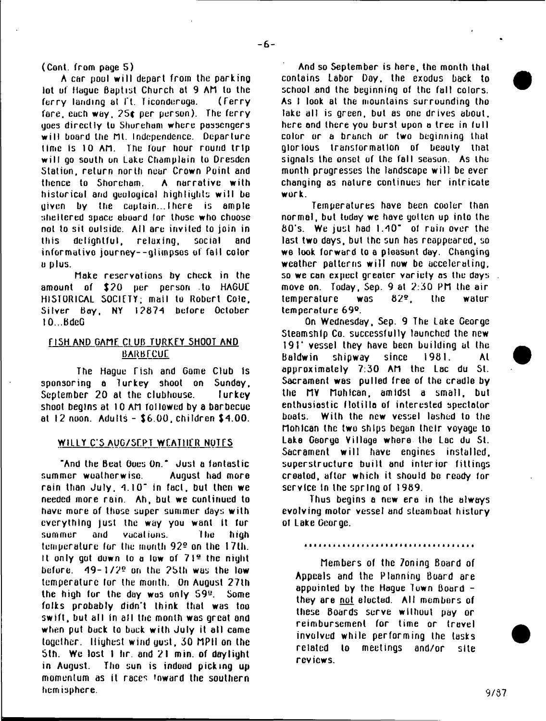(Conk from page 5)

A car pool w ill depart from the parking lot of Hague Baptist Church at 9 AM to the ferry landing at It. Ticonduroga. (Ferry fare, each way.  $25c$  per person). The ferry goes directly to Shureham where passengers will board the Mt. Independence. Departure lime is 10 AM. The four hour round trip w ill go south on Lake Champlain to Dresden Station, return north near Crown Point and<br>thence to Shoreham. A narrative with thence to Shoreham. historical and geological highlights w ill be given by the captain...There is ample sheltered space aboard (or those who choose not to sit outside. All are invited to join in this delightful, relax ing, social and informative journey--glimpsos of fall color u plus.

Make reservations by check in the amount of \$20 per person to HAGUE HISTORICAL SOCIETY; mail to Robert Cole, Silver Bay, NY 12874 before October I O . BdeG

# FISH AND GAME CLUB TURKEY SHOOT AND BARBTCUE

The Hague Tish and Gome Club Is sponsoring a lurkey shoot on Sunday, September 20 at the clubhouse. Iurkey shoot begins at 10 AM followed by a barbecue at 12 noon. Adults - \$6.00. children \$4.00.

# WILLY C'S AUG/SEPT WEATHER NOTES

"And the Beat Goes On." Just a fantastic summer woalherwise. August had more rain than  $J$ uly,  $4.10<sup>-1</sup>$  in fact, but then we needed more rain. Ah, but we continued to have more of those super summer days w ith everything just the way you want It for summer and vacations. The high temperature for the month 92<sup>°</sup> on the 17th. It only got down to a low of  $71<sup>o</sup>$  the night before.  $49-1/2$ <sup>o</sup> on the 25th was the low temperature for the month. On August 27th the high for the day was only  $59<sup>u</sup>$ . Some folks probably didn't think that was too sw ift, but all in all the month was great and when put back to back with July it all came together. Highest wind gust, 30 MPIt on the Sth. We lost I tir. and 21 min. of daylight in August. Tho sun is indeed picking up momentum as it races inward the southern hemisphere.

And so September is here, the month that contains Labor Day. the exodus back to school and the beginning of the fall colors. As I look at the mountains surrounding tho lake all is green, but as one drives about. here and there you burst upon a tree in full color or a branch or two beginning that glorious transformation of beauty that signals the onset of the fall season. As the month progresses the landscape w ill be ever changing as nature continues her intricate work.

Temperatures have been cooler than normal, but today we have gotten up into the 8 0 's. We just had 1.40" of rain over the last two days, but the sun has reappeared, so we look forward to a pleasant day. Changing weather patterns will now be accelerating. so we can expect greater variety as the days move on. Today, Sep. 9 at  $2:30$  PM the air temperature was 829. the water temperature 69°.

On Wednesday, Sep. 9 The Lake George Steamship Co. successfully launched the new 191' vessel they have been building at the Baldwin shipway since 1981. At approximately 7:30 AM the Lac du St. Sacrament was pulled free of the cradle by the MV Mohican, amidst a small, but enthusiastic flotilla of interested spectator boats. With the new vessel lashed to the Mohican the two ships began their voyage to Lake George Village where the Lac du St. Sacrament will have engines installed, superstructure built and interior fittings created, after which it should be ready for service in the spring of 1989.

Thus begins a new era in the always evolving motor vessel and steamboat history ot Lake George.

Members of the 7oning Board of Appeals and the Planning Board are appointed by the Hogue Town Board they are not elected. All members of these Boards serve without pay or reimbursement for time or travel involved while performing the tasks related to meetings and/or site reviews.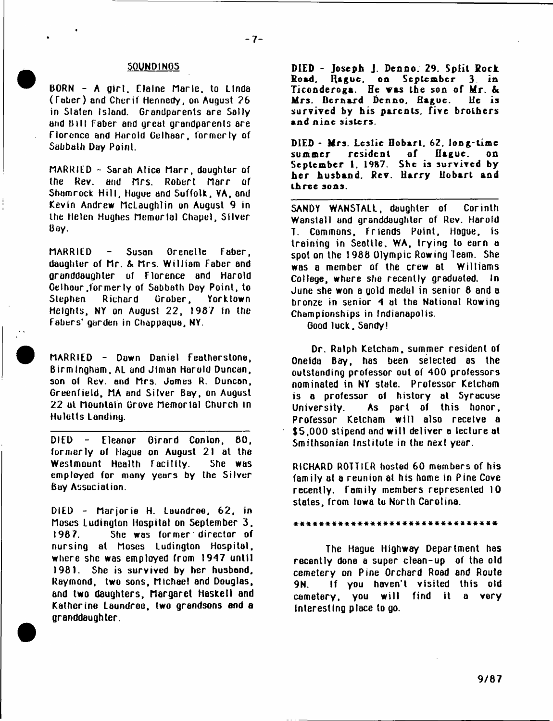### SOUNDINGS

BORN - A girl. Claine Marie, to Linda ( Taber) and Cherif Hennedy, on August ?6 in Staten Island. Grandparents are Sally and B ill Taber and great grandparents are Florence and Harold Gelhaar, formerly of Sabbath Day Point.

MARRIED  $-$  Sarah Alice Marr, daughter of the Rev. and Mrs. Robert Marr of Shamrock Hill, Hague and Suffolk, YA, and Kevin Andrew McLaughlin on August 9 in the Helen Hughes Memorial Chapel, Silver Boy.

MARRIED - Susan Crenelle Faber, daughter of Mr. & Mrs. William Faber and granddaughter of Florence and Harold Gelhaar .form erly of Sabbath Day Point, to Stephen Richard Grober, Yorktown Heights, NY on August 22, 1987 in the Fabers' garden in Choppagua, NY.

MARRIED - Down Daniel Featherstone, Birmingham, AL and Jiman Harold Duncan, son of Rev. and Mrs. James R. Duncan, Greenfield, MA and Silver Bay, on August 22 ul Mountain Grove Memorial Church in Hulotts Landing.

DIED - Eleanor Girard Conlon, 80, formerly of Haque on August 21 at the Westmount Health Facility. She was employed for many years by the Silver Boy Association.

DIED - Marjorie H. Laundree, 62, in Moses Ludinglon Hospital on September 3. 1987. She was former director of nursing at Moses Ludington Hospital, where she was employed from 1947 until 1981. She is survived by her husband, Raymond, two sons, Michael and Douglas, and two daughters, Margaret Haskell and Katherine Laundree, two grandsons and a granddaughter.

DIED - Joseph J. Denno. 29. Split Rock<br>Road, Rague, on September 3. in September Ticonderoga. He was the son of Mr. & Mrs. Bernard Den no, Hague. lie is survived by his parents, five brothers and nine sisters.

DIED - Mrs. Leslie Hobart. 62. long-time<br>summer - resident of Hague. on summer resident of Hague. on September 1. 1987. She is survived by her husband. Rev. Harry Hobart and ihrce sons.

SANDY WANSTALL, daughter of Corinth Wanstall and granddaughter of Rev. Harold T. Commons, Friends Point. Hague, is training in Seattle, WA, trying to earn a spot on the 1988 Olympic Rowing Team. She was a member of the crew at Williams College, where she recently graduated. In June she won a gold medal in senior 8 and a bronze in senior 9 at the Notional Rowing Championships in Indianapolis.

Good luck. Sandy!

Dr. Ralph Ketcham, summer resident of Oneida Bay, has been selected as the outstanding professor out of 400 professors nominated in NY state. Prolessor Ketcham is a professor ol history at Syracuse University. As part of this honor. Professor Ketcham will also receive a \$5,000 stipend and will deliver a lecture at Smithsonian Institute in the next year.

RICHARD ROTTIER hosted 60 members of his family at a reunion at his home in Pine Cove recently. Family members represented 10 states, from Iowa to North Carolina.

#### \* \* \* \* \* \* \* \* \* \* \* \* \* \* \* \* \* \* \* \* \* » \* \* \* \* \* \* \* - » « \*

The Hague Highway Department has recently done a super clean-up of the old cemetery on Pine Orchard Road and Route 9N. If you haven't visited this old cemetery, you will find it a very interesting place to go.